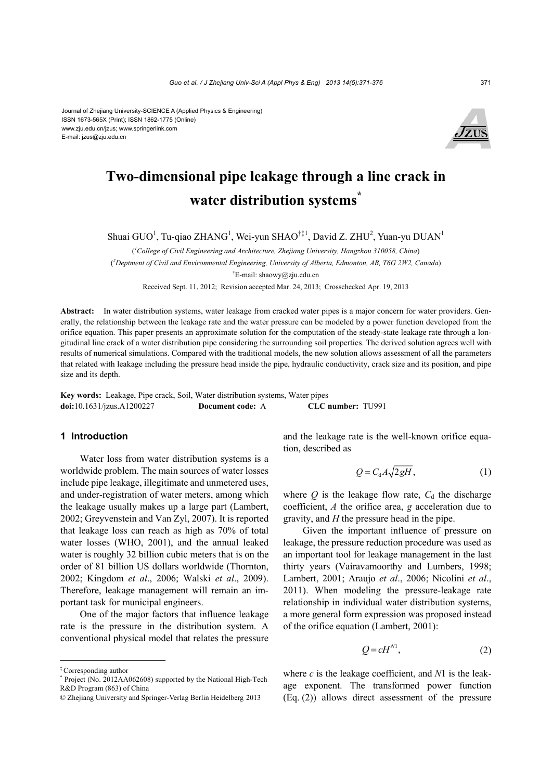

# **Two-dimensional pipe leakage through a line crack in water distribution systems\***

Shuai GUO<sup>1</sup>, Tu-qiao ZHANG<sup>1</sup>, Wei-yun SHAO<sup>†‡1</sup>, David Z. ZHU<sup>2</sup>, Yuan-yu DUAN<sup>1</sup>

( *1 College of Civil Engineering and Architecture, Zhejiang University, Hangzhou 310058, China*) ( *2 Deptment of Civil and Environmental Engineering, University of Alberta, Edmonton, AB, T6G 2W2, Canada*) † E-mail: shaowy@zju.edu.cn

Received Sept. 11, 2012; Revision accepted Mar. 24, 2013; Crosschecked Apr. 19, 2013

**Abstract:** In water distribution systems, water leakage from cracked water pipes is a major concern for water providers. Generally, the relationship between the leakage rate and the water pressure can be modeled by a power function developed from the orifice equation. This paper presents an approximate solution for the computation of the steady-state leakage rate through a longitudinal line crack of a water distribution pipe considering the surrounding soil properties. The derived solution agrees well with results of numerical simulations. Compared with the traditional models, the new solution allows assessment of all the parameters that related with leakage including the pressure head inside the pipe, hydraulic conductivity, crack size and its position, and pipe size and its depth.

**Key words:** Leakage, Pipe crack, Soil, Water distribution systems, Water pipes **doi:**10.1631/jzus.A1200227 **Document code:** A **CLC number:** TU991

### **1 Introduction**

Water loss from water distribution systems is a worldwide problem. The main sources of water losses include pipe leakage, illegitimate and unmetered uses, and under-registration of water meters, among which the leakage usually makes up a large part (Lambert, 2002; Greyvenstein and Van Zyl, 2007). It is reported that leakage loss can reach as high as 70% of total water losses (WHO, 2001), and the annual leaked water is roughly 32 billion cubic meters that is on the order of 81 billion US dollars worldwide (Thornton, 2002; Kingdom *et al*., 2006; Walski *et al*., 2009). Therefore, leakage management will remain an important task for municipal engineers.

One of the major factors that influence leakage rate is the pressure in the distribution system. A conventional physical model that relates the pressure

and the leakage rate is the well-known orifice equation, described as

$$
Q = C_d A \sqrt{2gH}, \qquad (1)
$$

where  $Q$  is the leakage flow rate,  $C_d$  the discharge coefficient, *A* the orifice area, *g* acceleration due to gravity, and *H* the pressure head in the pipe.

Given the important influence of pressure on leakage, the pressure reduction procedure was used as an important tool for leakage management in the last thirty years (Vairavamoorthy and Lumbers, 1998; Lambert, 2001; Araujo *et al*., 2006; Nicolini *et al*., 2011). When modeling the pressure-leakage rate relationship in individual water distribution systems, a more general form expression was proposed instead of the orifice equation (Lambert, 2001):

$$
Q = cH^{N1},\tag{2}
$$

where *c* is the leakage coefficient, and *N*1 is the leakage exponent. The transformed power function (Eq. (2)) allows direct assessment of the pressure

1

<sup>‡</sup> Corresponding author

<sup>\*</sup> Project (No. 2012AA062608) supported by the National High-Tech R&D Program (863) of China

<sup>©</sup> Zhejiang University and Springer-Verlag Berlin Heidelberg 2013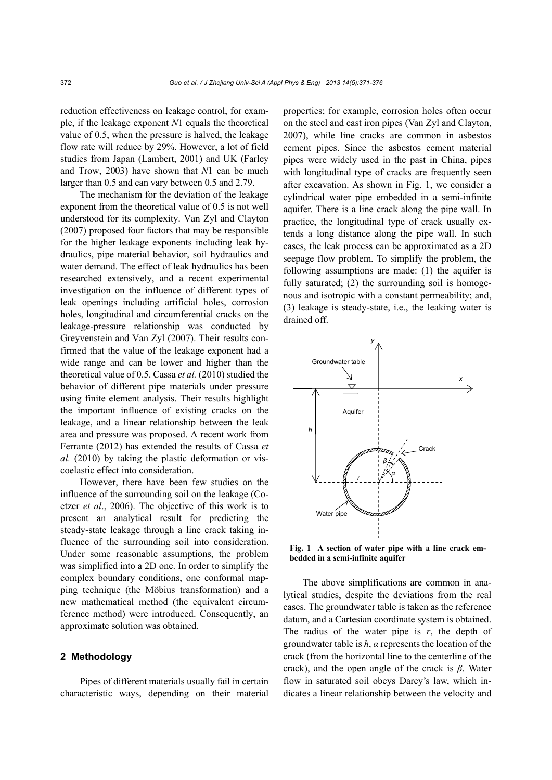reduction effectiveness on leakage control, for example, if the leakage exponent *N*1 equals the theoretical value of 0.5, when the pressure is halved, the leakage flow rate will reduce by 29%. However, a lot of field studies from Japan (Lambert, 2001) and UK (Farley and Trow, 2003) have shown that *N*1 can be much larger than 0.5 and can vary between 0.5 and 2.79.

The mechanism for the deviation of the leakage exponent from the theoretical value of 0.5 is not well understood for its complexity. Van Zyl and Clayton (2007) proposed four factors that may be responsible for the higher leakage exponents including leak hydraulics, pipe material behavior, soil hydraulics and water demand. The effect of leak hydraulics has been researched extensively, and a recent experimental investigation on the influence of different types of leak openings including artificial holes, corrosion holes, longitudinal and circumferential cracks on the leakage-pressure relationship was conducted by Greyvenstein and Van Zyl (2007). Their results confirmed that the value of the leakage exponent had a wide range and can be lower and higher than the theoretical value of 0.5. Cassa *et al.* (2010) studied the behavior of different pipe materials under pressure using finite element analysis. Their results highlight the important influence of existing cracks on the leakage, and a linear relationship between the leak area and pressure was proposed. A recent work from Ferrante (2012) has extended the results of Cassa *et al.* (2010) by taking the plastic deformation or viscoelastic effect into consideration.

However, there have been few studies on the influence of the surrounding soil on the leakage (Coetzer *et al*., 2006). The objective of this work is to present an analytical result for predicting the steady-state leakage through a line crack taking influence of the surrounding soil into consideration. Under some reasonable assumptions, the problem was simplified into a 2D one. In order to simplify the complex boundary conditions, one conformal mapping technique (the Möbius transformation) and a new mathematical method (the equivalent circumference method) were introduced. Consequently, an approximate solution was obtained.

## **2 Methodology**

Pipes of different materials usually fail in certain characteristic ways, depending on their material properties; for example, corrosion holes often occur on the steel and cast iron pipes (Van Zyl and Clayton, 2007), while line cracks are common in asbestos cement pipes. Since the asbestos cement material pipes were widely used in the past in China, pipes with longitudinal type of cracks are frequently seen after excavation. As shown in Fig. 1, we consider a cylindrical water pipe embedded in a semi-infinite aquifer. There is a line crack along the pipe wall. In practice, the longitudinal type of crack usually extends a long distance along the pipe wall. In such cases, the leak process can be approximated as a 2D seepage flow problem. To simplify the problem, the following assumptions are made: (1) the aquifer is fully saturated; (2) the surrounding soil is homogenous and isotropic with a constant permeability; and, (3) leakage is steady-state, i.e., the leaking water is drained off.



**Fig. 1 A section of water pipe with a line crack embedded in a semi-infinite aquifer**

The above simplifications are common in analytical studies, despite the deviations from the real cases. The groundwater table is taken as the reference datum, and a Cartesian coordinate system is obtained. The radius of the water pipe is *r*, the depth of groundwater table is *h*, *α* represents the location of the crack (from the horizontal line to the centerline of the crack), and the open angle of the crack is *β*. Water flow in saturated soil obeys Darcy's law, which indicates a linear relationship between the velocity and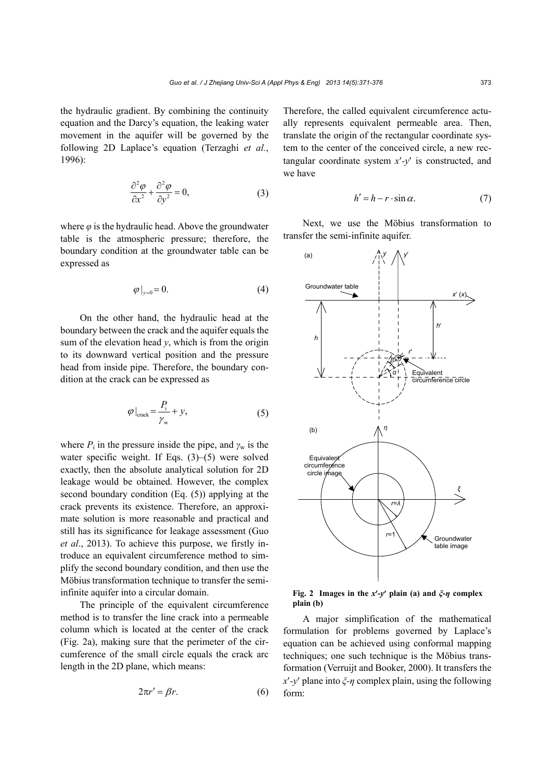the hydraulic gradient. By combining the continuity equation and the Darcy's equation, the leaking water movement in the aquifer will be governed by the following 2D Laplace's equation (Terzaghi *et al.*, 1996):

$$
\frac{\partial^2 \varphi}{\partial x^2} + \frac{\partial^2 \varphi}{\partial y^2} = 0,\tag{3}
$$

where  $\varphi$  is the hydraulic head. Above the groundwater table is the atmospheric pressure; therefore, the boundary condition at the groundwater table can be expressed as

$$
\varphi\big|_{y=0} = 0. \tag{4}
$$

On the other hand, the hydraulic head at the boundary between the crack and the aquifer equals the sum of the elevation head  $v$ , which is from the origin to its downward vertical position and the pressure head from inside pipe. Therefore, the boundary condition at the crack can be expressed as

$$
\varphi\big|_{\text{crack}} = \frac{P_i}{\gamma_w} + y,\tag{5}
$$

where  $P_i$  in the pressure inside the pipe, and  $\gamma_w$  is the water specific weight. If Eqs. (3)–(5) were solved exactly, then the absolute analytical solution for 2D leakage would be obtained. However, the complex second boundary condition (Eq. (5)) applying at the crack prevents its existence. Therefore, an approximate solution is more reasonable and practical and still has its significance for leakage assessment (Guo *et al*., 2013). To achieve this purpose, we firstly introduce an equivalent circumference method to simplify the second boundary condition, and then use the Möbius transformation technique to transfer the semiinfinite aquifer into a circular domain.

The principle of the equivalent circumference method is to transfer the line crack into a permeable column which is located at the center of the crack (Fig. 2a), making sure that the perimeter of the circumference of the small circle equals the crack arc length in the 2D plane, which means:

$$
2\pi r' = \beta r. \tag{6}
$$

Therefore, the called equivalent circumference actually represents equivalent permeable area. Then, translate the origin of the rectangular coordinate system to the center of the conceived circle, a new rectangular coordinate system *x-y* is constructed, and we have

$$
h' = h - r \cdot \sin \alpha. \tag{7}
$$

Next, we use the Möbius transformation to transfer the semi-infinite aquifer.



**Fig. 2** Images in the  $x'$ - $y'$  plain (a) and  $\xi$ - $\eta$  complex **plain (b)**

A major simplification of the mathematical formulation for problems governed by Laplace's equation can be achieved using conformal mapping techniques; one such technique is the Möbius transformation (Verruijt and Booker, 2000). It transfers the *x-y* plane into *ξ-η* complex plain, using the following form: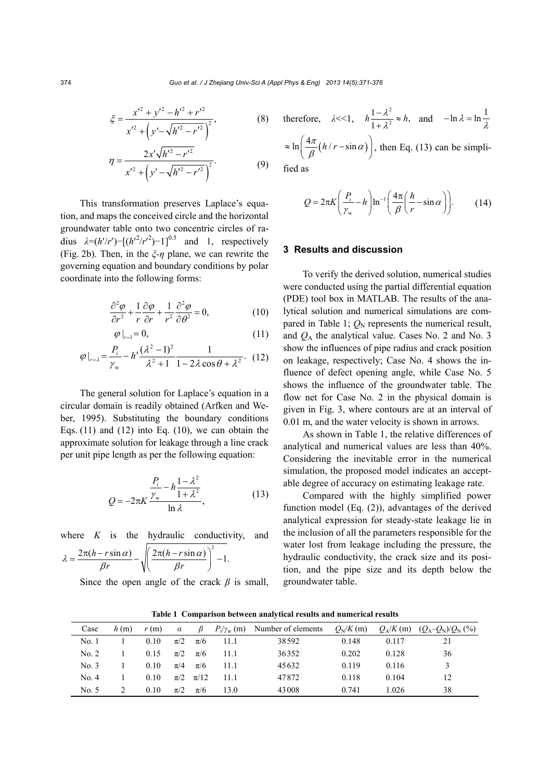$$
\xi = \frac{x'^2 + y'^2 - h'^2 + r'^2}{x'^2 + \left(y' - \sqrt{h'^2 - r'^2}\right)^2},\tag{8}
$$

$$
\eta = \frac{2x'\sqrt{h'^2 - r'^2}}{x'^2 + \left(y' - \sqrt{h'^2 - r'^2}\right)^2}.
$$
\n(9)

This transformation preserves Laplace's equation, and maps the conceived circle and the horizontal groundwater table onto two concentric circles of radius  $\lambda = (h'/r') - [(h'^2/r'^2) - 1]^{0.5}$  and 1, respectively (Fig. 2b). Then, in the *ξ-η* plane, we can rewrite the governing equation and boundary conditions by polar coordinate into the following forms:

$$
\frac{\partial^2 \varphi}{\partial r^2} + \frac{1}{r} \frac{\partial \varphi}{\partial r} + \frac{1}{r^2} \frac{\partial^2 \varphi}{\partial \theta^2} = 0, \tag{10}
$$

$$
\varphi\left|_{r=1}=0,\right.\tag{11}
$$

$$
\varphi|_{r=\lambda} = \frac{P_{\rm i}}{\gamma_{\rm w}} - h' \frac{(\lambda^2 - 1)^2}{\lambda^2 + 1} \frac{1}{1 - 2\lambda \cos \theta + \lambda^2}.
$$
 (12)

The general solution for Laplace's equation in a circular domain is readily obtained (Arfken and Weber, 1995). Substituting the boundary conditions Eqs.  $(11)$  and  $(12)$  into Eq.  $(10)$ , we can obtain the approximate solution for leakage through a line crack per unit pipe length as per the following equation:

$$
Q = -2\pi K \frac{\frac{P_i}{\gamma_w} - h \frac{1 - \lambda^2}{1 + \lambda^2}}{\ln \lambda},
$$
 (13)

where  $K$  is the hydraulic conductivity, and

$$
\lambda = \frac{2\pi(h - r\sin\alpha)}{\beta r} - \sqrt{\left(\frac{2\pi(h - r\sin\alpha)}{\beta r}\right)^2 - 1}.
$$

Since the open angle of the crack  $\beta$  is small,

therefore, 
$$
\lambda \ll 1
$$
,  $h \frac{1 - \lambda^2}{1 + \lambda^2} \approx h$ , and  $-\ln \lambda = \ln \frac{1}{\lambda}$   
 $\approx \ln \left( \frac{4\pi}{\beta} (h/r - \sin \alpha) \right)$ , then Eq. (13) can be simplified as

$$
Q = 2\pi K \left(\frac{P_i}{\gamma_w} - h\right) \ln^{-1} \left(\frac{4\pi}{\beta} \left(\frac{h}{r} - \sin \alpha\right)\right).
$$
 (14)

### **3 Results and discussion**

To verify the derived solution, numerical studies were conducted using the partial differential equation (PDE) tool box in MATLAB. The results of the analytical solution and numerical simulations are compared in Table 1;  $Q_N$  represents the numerical result, and *Q*A the analytical value. Cases No. 2 and No. 3 show the influences of pipe radius and crack position on leakage, respectively; Case No. 4 shows the influence of defect opening angle, while Case No. 5 shows the influence of the groundwater table. The flow net for Case No. 2 in the physical domain is given in Fig. 3, where contours are at an interval of 0.01 m, and the water velocity is shown in arrows.

As shown in Table 1, the relative differences of analytical and numerical values are less than 40%. Considering the inevitable error in the numerical simulation, the proposed model indicates an acceptable degree of accuracy on estimating leakage rate.

Compared with the highly simplified power function model (Eq. (2)), advantages of the derived analytical expression for steady-state leakage lie in the inclusion of all the parameters responsible for the water lost from leakage including the pressure, the hydraulic conductivity, the crack size and its position, and the pipe size and its depth below the groundwater table.

| Case  | h(m)          | r(m) | $\alpha$ |                  |         | $\beta$ $P_i/\gamma_w$ (m) Number of elements | $O_N/K(m)$ |       | $Q_A/K(m)$ $(Q_A-Q_N)/Q_N$ (%) |
|-------|---------------|------|----------|------------------|---------|-----------------------------------------------|------------|-------|--------------------------------|
| No. 1 |               | 0.10 | $\pi/2$  | $\pi/6$          | $-11.1$ | 38592                                         | 0.148      | 0.117 |                                |
| No. 2 |               | 0.15 | $\pi/2$  | $\pi/6$          | 11 1    | 36352                                         | 0.202      | 0.128 | 36                             |
| No. 3 |               | 0.10 | $\pi/4$  | $\pi/6$          | 11 1    | 45632                                         | 0.119      | 0.116 |                                |
| No. 4 |               | 0.10 |          | $\pi/2$ $\pi/12$ | -11-1   | 47872                                         | 0.118      | 0.104 | 12                             |
| No. 5 | $\mathcal{L}$ | 0.10 | $\pi/2$  | $\pi/6$          | 13.0    | 43008                                         | 0.741      | 1.026 | 38                             |

**Table 1 Comparison between analytical results and numerical results**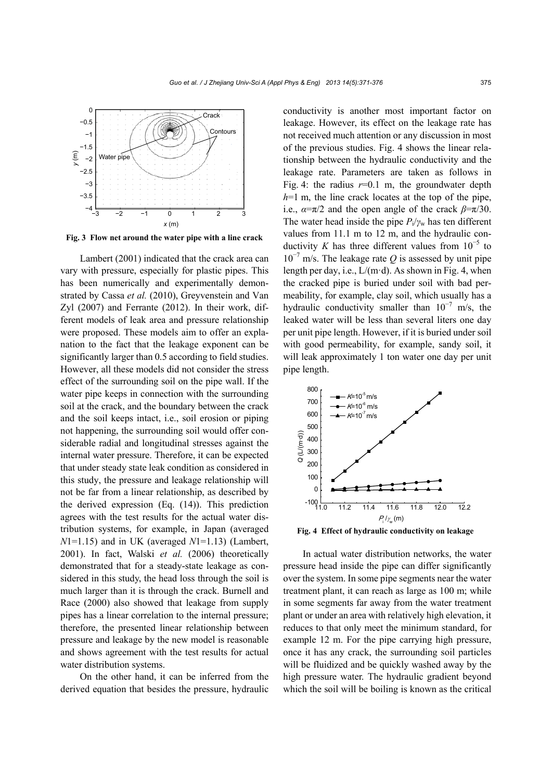

**Fig. 3 Flow net around the water pipe with a line crack**

Lambert (2001) indicated that the crack area can vary with pressure, especially for plastic pipes. This has been numerically and experimentally demonstrated by Cassa *et al.* (2010), Greyvenstein and Van Zyl (2007) and Ferrante (2012). In their work, different models of leak area and pressure relationship were proposed. These models aim to offer an explanation to the fact that the leakage exponent can be significantly larger than 0.5 according to field studies. However, all these models did not consider the stress effect of the surrounding soil on the pipe wall. If the water pipe keeps in connection with the surrounding soil at the crack, and the boundary between the crack and the soil keeps intact, i.e., soil erosion or piping not happening, the surrounding soil would offer considerable radial and longitudinal stresses against the internal water pressure. Therefore, it can be expected that under steady state leak condition as considered in this study, the pressure and leakage relationship will not be far from a linear relationship, as described by the derived expression (Eq. (14)). This prediction agrees with the test results for the actual water distribution systems, for example, in Japan (averaged *N*1=1.15) and in UK (averaged *N*1=1.13) (Lambert, 2001). In fact, Walski *et al.* (2006) theoretically demonstrated that for a steady-state leakage as considered in this study, the head loss through the soil is much larger than it is through the crack. Burnell and Race (2000) also showed that leakage from supply pipes has a linear correlation to the internal pressure; therefore, the presented linear relationship between pressure and leakage by the new model is reasonable and shows agreement with the test results for actual water distribution systems.

On the other hand, it can be inferred from the derived equation that besides the pressure, hydraulic

conductivity is another most important factor on leakage. However, its effect on the leakage rate has not received much attention or any discussion in most of the previous studies. Fig. 4 shows the linear relationship between the hydraulic conductivity and the leakage rate. Parameters are taken as follows in Fig. 4: the radius  $r=0.1$  m, the groundwater depth *h*=1 m, the line crack locates at the top of the pipe, i.e.,  $\alpha = \pi/2$  and the open angle of the crack  $\beta = \pi/30$ . The water head inside the pipe  $P_i/\gamma_w$  has ten different values from 11.1 m to 12 m, and the hydraulic conductivity *K* has three different values from  $10^{-5}$  to  $10^{-7}$  m/s. The leakage rate *Q* is assessed by unit pipe length per day, i.e.,  $L/(m \cdot d)$ . As shown in Fig. 4, when the cracked pipe is buried under soil with bad permeability, for example, clay soil, which usually has a hydraulic conductivity smaller than  $10^{-7}$  m/s, the leaked water will be less than several liters one day per unit pipe length. However, if it is buried under soil with good permeability, for example, sandy soil, it will leak approximately 1 ton water one day per unit pipe length.



**Fig. 4 Effect of hydraulic conductivity on leakage** 

In actual water distribution networks, the water pressure head inside the pipe can differ significantly over the system. In some pipe segments near the water treatment plant, it can reach as large as 100 m; while in some segments far away from the water treatment plant or under an area with relatively high elevation, it reduces to that only meet the minimum standard, for example 12 m. For the pipe carrying high pressure, once it has any crack, the surrounding soil particles will be fluidized and be quickly washed away by the high pressure water. The hydraulic gradient beyond which the soil will be boiling is known as the critical